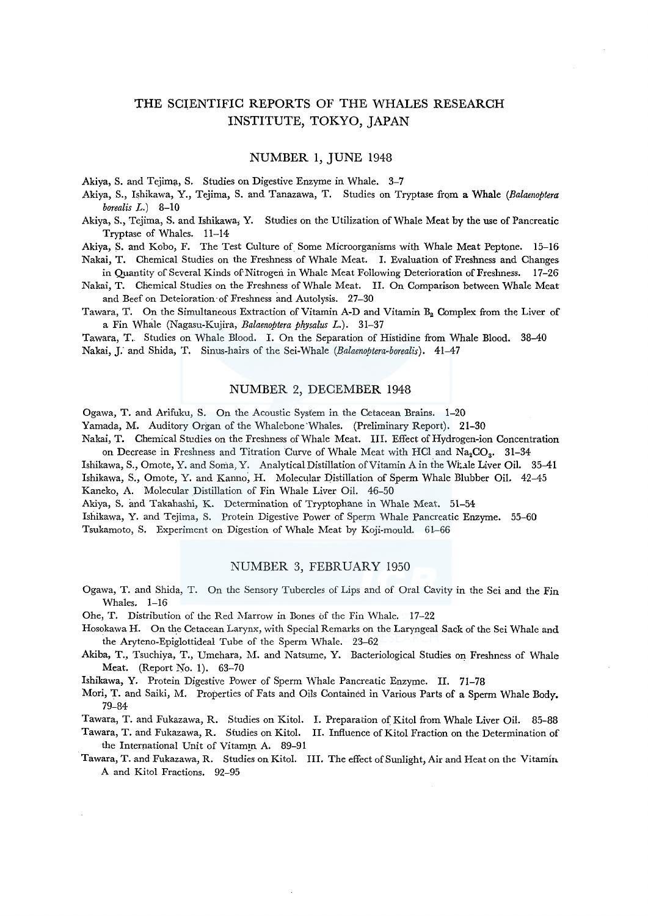# THE SCIENTIFIC REPORTS OF THE WHALES RESEARCH INSTITUTE, TOKYO, JAPAN

# NUMBER 1, JUNE 1948

Akiya, S. and Tejima, S. Studies on Digestive Enzyme in Whale. 3-7

Akiya, S., Ishikawa, Y., Tejima, S. and Tanazawa, T. Studies on Tryptase from a Whale *(Balaenoptera borealis L.)* 8-10

Akiya, S., Tejima, S. and Ishikawa; Y. Studies on the Utilization of Whale Meat by the use of Pancreatic Tryptase of Whales. 11-14

Akiya, S. and Koba, F. The Test Culture of Some Microorganisms with Whale Meat Peptone. 15-16 Nakai, T. Chemical Studies on the Freshness of Whale Meat. I. Evaluation of Freshness and Changes

in Quantity of Several Kinds of Nitrogen in Whale Meat Following Deterioration of Freshness. 17-26

Nakai, T. Chemical Studies on the Freshness of Whale Meat. II. On Comparison between Whale Meat and Beef on Deteioration·of Freshness and Autolysis. 27-30

Tawara, T. On the Simultaneous Extraction of Vitamin A-D and Vitamin B<sub>2</sub> Complex from the Liver of a Fin Whale (Nagasu-Kujira, *Balaenoptera physalus L.).* 31-37

Tawara, T.. Studies on Whale Blood. I. On the Separation of Histidine from Whale Blood. 38-40 Nakai, J." and Shida, T. Sinus-hairs of the Sei-Whale *(Ealaenoptera-borealis).* 41-47

# NUMBER 2, DECEMBER 1948

Ogawa, T. and Arifuku, S. On the Acoustic System in the Cetacean Brains. 1-20 Yamada, M. Auditory Organ of the Whalebone'Whales. (Preliminary Report). 21-30

Nakai, T. Chemical Studies on the Freshness of Whale Meat. III. Effect of Hydrogen-ion Concentration on Decrease in Freshness and Titration Curve of Whale Meat with HCl and Na<sub>2</sub>CO<sub>3</sub>. 31-34

Ishikawa, S., Omote, Y. and Soma, Y. Analytical Distillation of Vitamin A in the Witale Liver Oil. 35-41 Ishikawa, S., Omote, Y. and Kanno, H. Molecular Distillation of Sperm Whale Blubber Oil. 42-45 Kaneko, A. Molecular Distillation of Fin Whale Liver Oil. 46-50

Akiya, S. and Takahashi, K. Determination of Tryptophane in Whale Meat. 51-54

Ishikawa, Y. and Tejima, S. Protein Digestive Power of Sperm Whale Pancreatic Enzyme. 55-60 Tsukamoto, S. Experiment on Digestion of Whale Meat by Koji-mould. 61-66

# NUMBER 3, FEBRUARY 1950

Ogawa, T. and Shida, T. On the Sensory Tubercles of Lips and of Oral Cavity in the Sei and the Fin Whales. 1-16

Ohe, T. Distribution of the Red Marrow in Bones of the Fin Whale.  $-17-22$ 

- Hosokawa H. On the Cetacean Larynx, with Special Remarks on the Laryngeal Sack of the Sei Whale and the Aryteno-Epiglottideal Tube of the Sperm Whale. 23-62
- Akiba, T., Tsuchiya, T., Umehara, M. and Natsume, Y. Bacteriological Studies on Freshness of Whale Meat. (Report No. 1). 63-70

Ishikawa, Y. Protein Digestive Power of Sperm Whale Pancreatic Enzyme. II. 71-78

Mori, T. and Saiki, M. Properties of Fats and Oils Contained in Various Parts of a Sperm Whale Body. 79-84

Tawara, T. and Fukazawa, R. Studies on Kitol. I. Preparation of Kitol from Whale Liver Oil. 85-88

Tawara, T. and Fukazawa, R. Studies on Kitol. II. Influence of Kitol Fraction on the Determination of the International Unit of Vitamin A. 89-91

Tawara, T. and Fukazawa, R. Studies on Kitol. III. The effect of Sunlight, Air and Heat on the Vitamin A and Kitol Fractions. 92-95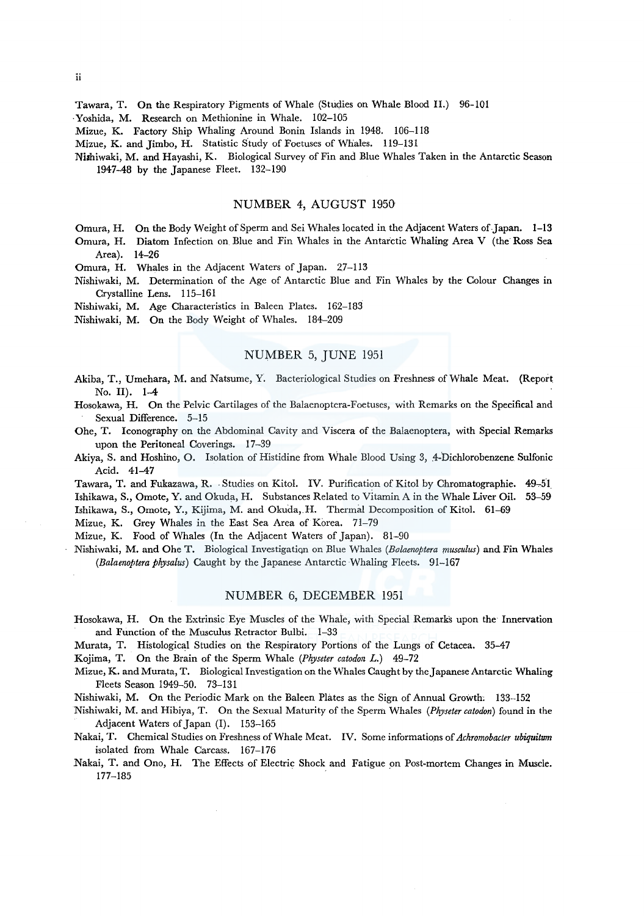Tawara, T. On the Respiratory Pigments of Whale (Studies on Whale Blood II.) 96-101

·Yoshida, M. Research on Methionine in Whale. 102-105

Mizue, K. Factory Ship Whaling Around Bonin Islands in 1948. 106-118

Mizue, K. and Jimbo, H. Statistic Study of Foetuses of Whales. 119-131

Niahiwaki, M. and Hayashi, K. Biological Survey of Fin and Blue Whales Taken in the Antarctic Season 1947-48 by the Japanese Fleet. 132~190

# NUMBER 4, AUGUST 1950

Omura, H. On the Body Weight of Sperm and Sei Whales located in the Adjacent Waters of Japan. **1-13** 

Omura, H. Diatom Infection on Blue and Fin Whales in the Antarctic Whaling Area V (the Ross Sea Area). 14-26

Omura, H. Whales in the Adjacent Waters of Japan. 27-113

Nishiwaki, M. Determination of the Age of Antarctic Blue and Fin Whales by the Colour Changes in Crystalline Lens. 115-161

Nishiwaki, M. Age Characteristics in Baleen Plates. 162-183

Nishiwaki, M. On the Body Weight of Whales. 184-209

## NUMBER 5, JUNE 1951

- Akiba, T., Umehara, M. and Natsume, Y. Bacteriological Studies on Freshness of Whale Meat. (Report No. II). 1-4
- Hosokawa, H. On the Pelvic Cartilages of the Balaenoptera-Foetuses, with Remarks on the Specifical and Sexual Difference. 5-15
- Ohe, T. Iconography on the Abdominal Cavity and Viscera of the Balaenoptera, with Special Remarks upon the Peritoneal Coverings. 17-39
- Akiya, S. and Hoshino, O. Isolation of Histidine from Whale Blood Using 3, 4-Dichlorobenzene Sulfonic Acid. 41-47

Tawara, T. and Fukazawa, R. Studies on Kitol. IV. Purification of Kitol by Chromatographie. 49-51 Ishikawa, S., Omote, Y. and Okuda, H. Substances Related to Vitamin A in the Whale Liver Oil. 53-59 Ishikawa, S., Omote, Y., Kijima, M. and Okuda, H. Thermal Decomposition of Kitol. 61-69

Mizue, K. Grey Whales in the East Sea Area of Korea. 71-79

Mizue, K. Food of Whales (In the Adjacent Waters of Japan). 81-90

Nishiwaki, M. and Ohe T. Biological Investigatiqn on Blue Whales *(Bolaenoptera musculus)* and Fin Whales *(Balaenoptera physalus)* Caught by the Japanese Antarctic Whaling Fleets. 91-167

### NUMBER 6, DECEMBER 1951

Hosokawa, H. On the Extrinsic Eye Muscles of the Whaie, with Special Remarks upon the Innervation and Function of the Musculus Retractor Bulbi. 1-33

Murata, T. Histological Studies on the Respiratory Portions of the Lungs of Cetacea. 35-47

Kojima, T. On the Brain of the Sperm Whale *(Physeter catodon L.)* 49-72

Mizue, K. and Murata, T. Biological Investigation on the Whales Caught by the Japanese Antarctic Whaling Fleets Season 1949-50. 73-131

Nishiwaki, M. On the Periodic Mark on the Baleen Plates as the Sign of Annual Growth; 133-152

Nishiwaki, M. and Hibiya, T. On the Sexual Maturity of the Sperm Whales *(Physeter catodon)* found in the Adjacent Waters of Japan (I). 153-165

Nakai, T. Chemical Studies on Freshness of Whale Meat. IV. Some informations of *Achromobacter ubiquitrnn*  isolated from Whale Carcass. 167-176

Nakai, T. and Ono, H. The Effects of Electric Shock and Fatigue \_on Post-mortem Changes in Muscle. 177-185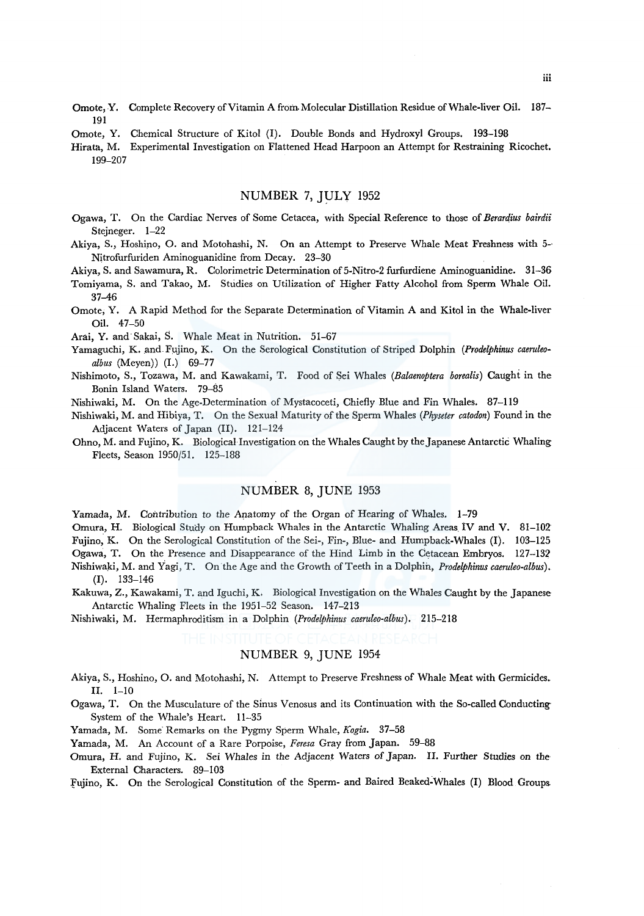- Omote, Y. Complete Recovery of Vitamin A from. Molecular Distillation Residue of Whale-liver Oil. 187- 191
- Omote, Y. Chemical Structure of Kitol (I). Double Bonds and Hydroxyl Groups. 193-198
- Hirata, M. Experimental Investigation on Flattened Head Harpoon an Attempt for Restraining Ricochet. 199-207

# NUMBER 7, JULY 1952

- Ogawa, T. On the Cardiac Nerves of Some Cetacea, with Special Reference to those of *Berardius bairdii*  Stejneger. 1-22
- Akiya, S., Hoshipo, 0. and Motohashi, N. On an Attempt to Preserve Whale Meat Freshness with 5-· Nitrofurfuriden Aminoguanidine from Decay. 23-30

Akiya, S. and Sawamura, R. Colorimetric Determination of 5-Nitro-2 furfurdiene Aminoguanidine. 31-36

- Tomiyama, S. and Takao, M. Studies on Utilization of Higher Fatty Alcohol from Sperm Whale Oil. 37-46
- Omote, Y. A Rapid Method for the Separate Determination of Vitamin A and Kitol in the Whale-liver Oil. 47-50

Arai, Y. and· Sakai, S. Whale Meat in Nutrition. 51-67

- Yamaguchi, K. and Fujino, K. On the Serological Constitution of Striped Dolphin *(Prodelphinus caeruleoalbus* (Meyen)) (I.) 69-77
- Nishimoto, S., Tozawa, M. and Kawakami, T. Food of Sei Whales *(Balaenoptera borealis)* Caught in the Bonin Island Waters. 79-85
- Nishiwaki, M. On the Age-Determination of Mystacoceti, Chiefly Blue and Fin Whales. 87-119
- Nishiwaki, M. and Hibiya, T. On the Sexual Maturity of the Sperm Whales *(Physeter catodon)* Found in the Adjacent Waters of Japan (II). 121-124
- Ohno, M. and Fujino, K. Biological Investigation on the Whales Caught by the Japanese Antarctic Whaling Fleets, Season 1950/51. 125-188

# NUMBER 8, JUNE 1953

Yamada, M. Contribution to the Anatomy of the Organ of Hearing of Whales. 1-79

Omura, H. Biological Study on Humpback Whales in the Antarctic Whaling Areas 1V and V. 81-102 Fujino, K. On the Serological Constitution of the Sei-, Fin-, Blue- and Humpback-Whales (I). 103-125 Ogawa, T. On the Presence and Disappearance of the Hind Limb *in* the Cetacean Embryos. 127-13:? Nishiwaki, M. and Yagi, T. On the Age and the Growth of Teeth in a Dolphin, *Prodelphinus caeruleo-albus).*   $(I)$ . 133–146

- Kakuwa, Z., Kawakami, T. and Iguchi, K. Biological Investigation on the Whales Caught by the Japanese Antarctic Whaling Fleets in the 1951-52 Season. 147-213
- Nishiwaki, M. Hermaphroditism in a Dolphin *(Prodelphinus caeruleo-albus).* 215-218

# NUMBER 9, JUNE 1954

Akiya, S., Hoshino, 0. and Motohashi, N. Attempt to Preserve Freshness of Whale Meat with Germicides. II. 1-10

- Ogawa, T. On the Musculature of the Sinus Venosus and its Continuation with the So-called Conducting-System of the Whale's Heart. 11-35
- Yamada, M. Some· Remarks on the Pygmy Sperm Whale, *Kogia.* 37-58

Yamada, M. An Account of a Rare Porpoise, *Feresa* Gray from Japan. 59-88

Omura, H. and Fujino, K. Sei Whales in the Adjacent Waters of Japan. II. Further Studies on the External Characters. 89-103

fujino, K. On the Serological Constitution of the Sperm- and Baired Beaked~Whales (I) Blood Groups.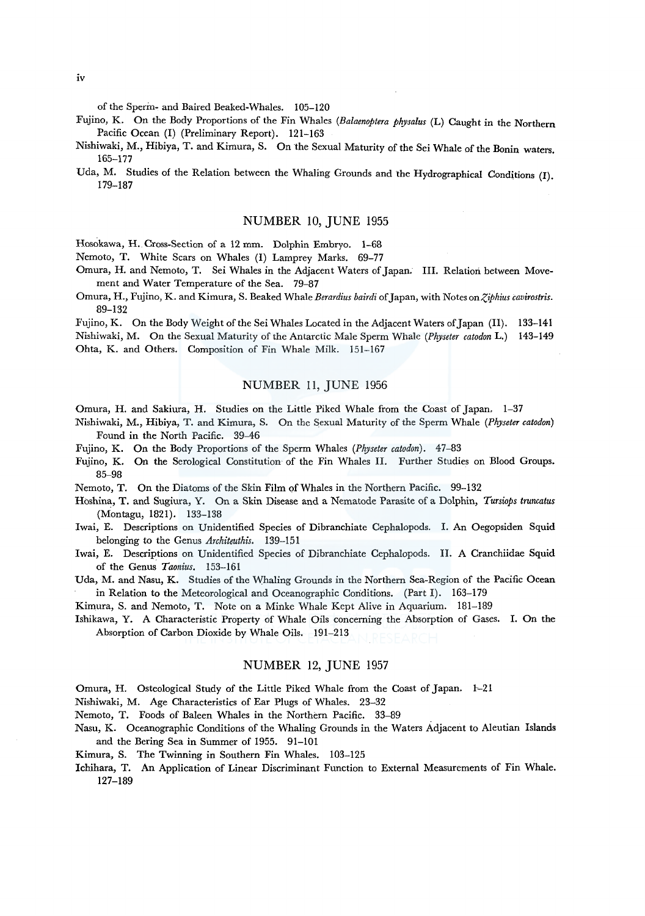of the Sperm- and Baired Beaked-Whales. 105-120

- Fujino, K. On the Body Proportions of the Fin Whales *(Balaenoptera physalus* (L) Caught in the Northern Pacific Ocean (I) (Preliminary Report). 121-163
- Nishiwaki, M., Hibiya, T. and Kimura, S. On the Sexual Maturity of the Sei Whale of the Bonin waters. 165-177
- Uda, M. Studies of the Relation between the Whaling Grounds and the Hydrographical Conditions (I). 179-187

#### NUMBER 10, JUNE 1955

Hosokawa, H. Cross-Section of a 12 mm. Dolphin Embryo. 1-68

Nemoto, T. White Scars on Whales (I) Lamprey Marks. 69-77

- Omura, H. and Nemoto, T. Sei Whales in the Adjacent Waters of Japan. III. Relation between Movement and Water Temperature of the Sea. 79-87
- Omura, H., Fujino, K. and Kimura, S. Beaked Whale *Berardius bairdi* of Japan, with Notes *onZ,iphius cavirostris.*  89-132

Fujino, K. On the Body Weight of the Sei Whales Located in the Adjacent Waters of Japan (11). 133-141 Nishiwaki, M. On the Sexual Maturity of the Antarctic Male Sperm Whale *(Physeter catodon* L.) 143-149 Ohta, K. and Others. Composition of Fin Whale Milk. 151-167

# NUMBER 11, JUNE 1956

Omura, H. and Sakiura, H. Studies on the Little Piked Whale from the Coast of Japan. 1-37

- Nishiwaki, M., Hibiya, T. and Kimura, S. On the Sexual Maturity of the Sperm Whale *(Physeter catodon)*  Found in the North Pacific. 39-46
- Fujino, K. On the Body Proportions of the Sperm Whales *(Physeter catodon).* 47-83
- Fujino, K. On the Serological Constitution of the Fin Whales II. Further Studies on Blood Groups. 85-98
- Nemoto, T. On the Diatoms of the Skin Film of Whales in the Northern Pacific. 99-132
- Hoshina, T. and Sugiura, Y. On a Skin Disease and a Nematode Parasite of a Dolphin, *Tursiops truncatus*  (Montagu, 1821). 133-138
- Iwai, E. Descriptions on Unidentified Species of Dibranchiate Cephalopods. I. An Oegopsiden Squid belonging to the Genus *Architeuthis.* 139-151
- Iwai, E. Descriptions on Unidentified Species of Dibranchiate Cephalopods. II. A Cranchiidae Squid of the Genus *Taonius.* 153-161
- Uda, M. and Nasu, K. Studies of the Whaling Grounds in the Northern Sea-Region of the Pacific Ocean in Relation to the Meteorological and Oceanographic Conditions. (Part I). 163-179

Kimura, S. and Nemoto, T. Note on a Minke Whale Kept Alive in Aquarium. 181-189

Ishikawa, Y. A Characteristic Property of Whale Oils concerning the Absorption of Gases. I. On the Absorption of Carbon Dioxide by Whale Oils. 191-213

## NUMBER 12, JUNE 1957

Omura, H. Osteological Study of the Little Piked Whale from the Coast of Japan. 1--21

- Nishiwaki, M. Age Characteristics of Ear Plugs of Whales. 23-32
- Nemoto, T. Foods of Baleen Whales in the Northern Pacific. 33-89
- Nasu, K. Oceanographic Conditions of the Whaling Grounds in the Waters Adjacent to Aleutian Islands and the Bering Sea in Summer of 1955. 91-101
- Kimura, S. The Twinning in Southern Fin Whales. 103-125
- Ichihara, T. An Application of Linear Discriminant Function to External Measurements of Fin Whale. 127-189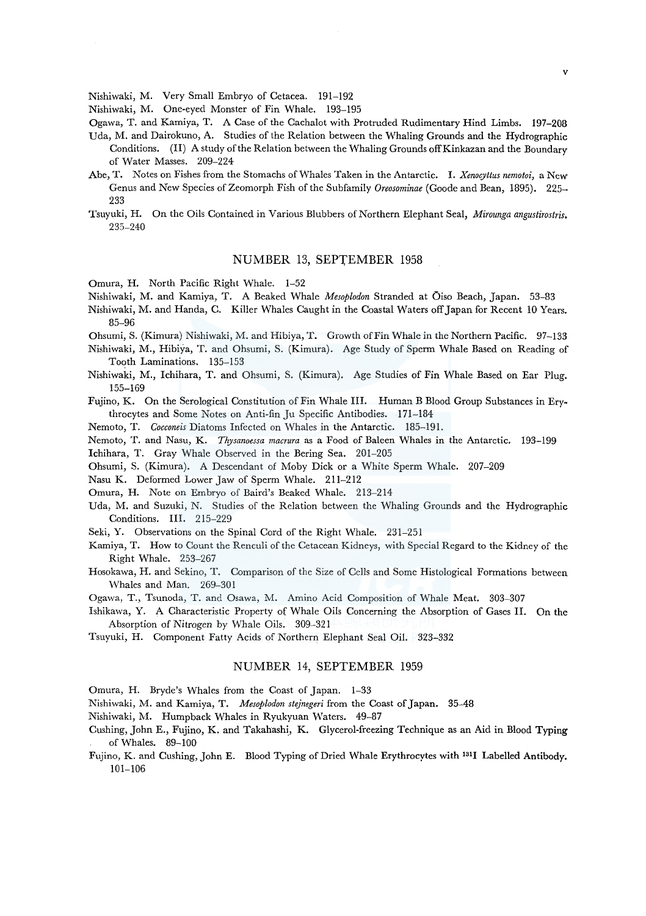Nishiwaki, M. Very Small Embryo of Cetacea. 191-192

Nishiwaki, M. One-eyed Monster of Fin Whale. 193-195

- Ogawa, T. and Kamiya, T. A Case of the Cachalot with Protruded Rudimentary Hind Limbs. 197-208
- Uda, M. and Dairokuno, A. Studies of the Relation between the Whaling Grounds and the Hydrographic Conditions. (II) A study of the Relation between the Whaling Grounds off Kinkazan and the Boundary of Water Masses. 209-224
- Abe, T. Notes on Fishes from the Stomachs of Whales Taken in the Antarctic. I. *Xenocyttus nemotoi,* a New Genus and New Species of Zeomorph Fish of the Subfamily *Oreosominae* (Goode and Bean, 1895). 225- 233
- Tsuyuki, H. On the Oils Contained in Various Blubbers of Northern Elephant Seal, *Mirounga angustirostris.*  235-240

### NUMBER 13, SEPTEMBER 1958

Omura, H. North Pacific Right Whale. 1-52

- Nishiwaki, M. and Kamiya, T. A Beaked Whale *Mesoplodon* Stranded at Oiso Beach, Japan. 53-83
- Nishiwaki, M. and Handa, C. Killer Whales Caught in the Coastal Waters off Japan for Recent 10 Years. 85-96
- Ohsumi, S. (Kimura) Nishiwaki, M. and Hibiya, T. Growth of Fin Whale in the Northern Pacific. 97-133
- Nishiwaki, M., Hibiya, T. and Ohsumi, S. (Kimura). Age Study of Sperm Whale Based on Reading of Tooth Laminations. 135-153
- Nishiwaki, M., lchihara, T. and Ohsumi, S. (Kimura). Age Studies of Fin Whale Based on Ear Plug. 155-169
- Fujino, K. On the Serological Constitution of Fin Whale III. Human B Blood Group Substances in Erythrocytes and Some Notes on Anti-fin Ju Specific Antibodies. 171-184

Nemoto, T. *Cocconeis* Diatoms Infected on Whales in the Antarctic. 185-191.

Nemoto, T. and Nasu, K. *Thysanoessa macrura* as a Food of Baleen Whales in the Antarctic. 193-199

Ichihara, T. Gray Whale Observed in the Bering Sea. 201-205

Ohsumi, S. (Kimura). A Descendant of Moby Dick or a White Sperm Whale. 207-209

Nasu K. Deformed Lower Jaw of Sperm Whale. 211-212

- Omura, H. Note on Embryo of Baird's Beaked Whale. 213-214
- Uda, M. and Suzuki, N. Studies of the Relation between the Whaling Grounds and the Hydrographic Conditions. III. 215-229
- Seki, Y. Observations on the Spinal Cord of the Right Whale. 231-251
- Kamiya, T. How to Count the Renculi of the Cetacean Kidneys, with Special Regard to the Kidney of the Right Whale. 253-267
- Hosokawa, H. and Sekino, T. Comparison of the Size of Cells and Some Histological Formations between Whales and Man. 269-301
- Ogawa, T., Tsunoda, T. and Osawa, M. Amino Acid Composition of Whale Meat. 303-307
- Ishikawa, Y. A Characteristic Property of Whale Oils Concerning the Absorption of Gases II. On the Absorption of Nitrogen by Whale Oils. 309-321
- Tsuyuki, H. Component Fatty Acids of Northern Elephant Seal Oil. 323-332

#### NUMBER 14, SEPTEMBER 1959

- Omura, H. Bryde's Whales from the Coast of Japan. 1-33
- Nishiwaki, M. and Kamiya, T. *Mesoplodon stejnegeri* from the Coast of Japan. 35--48
- Nishiwaki, M. Humpback Whales in Ryukyuan Waters. 49-87
- Cushing, John E., Fujino, K. and Takahashi., K. Glycerol-freezing Technique as an Aid in Blood Typing of Whales. 89-100
- Fujino, K. and Cushing, John E. Blood Typing of Dried Whale Erythrocytes with 131I Labelled Antibody. 101-106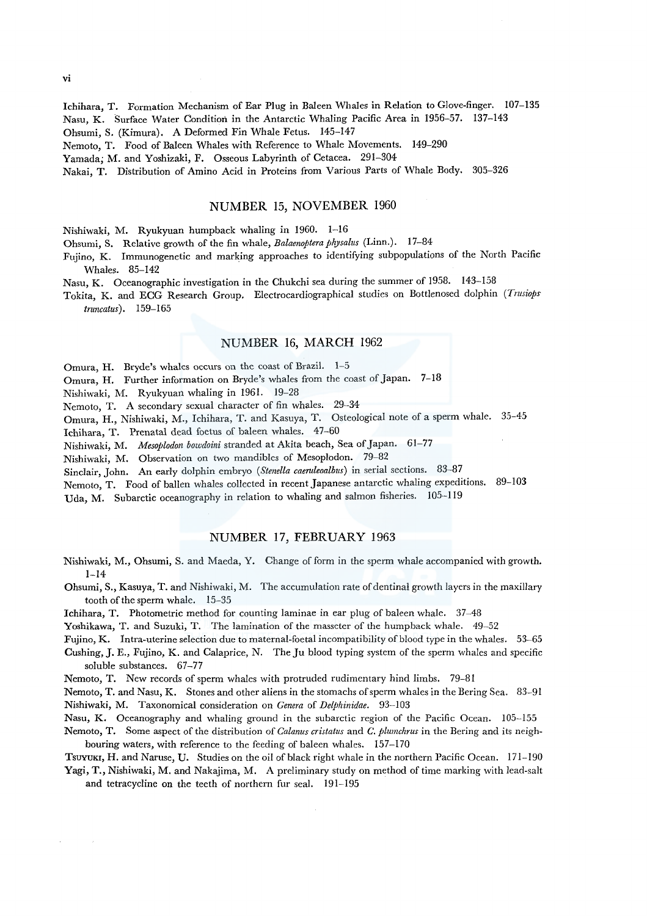lchihara, T. Formation Mechanism of Ear Plug in Baleen Whales in Relation to Glove-finger. 107-135 Nasu, K. Surface Water Condition in the Antarctic Whaling Pacific Area in 1956-57. 137-143 Ohsumi, S. (Kimura). A Deformed Fin Whale Fetus. 145-147 Nemoto, T. Food of Baleen Whales with Reference to Whale Movements. 149-290 Yamada; M. and Yoshizaki, F. Osseous Labyrinth of Cetacea. 291-304

Nakai, T. Distribution of Amino Acid in Proteins from Various Parts of Whale Body. 305-326

#### NUMBER 15, NOVEMBER 1960

Nishiwaki, M. Ryukyuan humpback whaling in 1960. 1-16

Ohsumi, S. Relative growth of the fin whale, *Balaenoptera physalus* (Linn.). 17-84

Fujino, K. Immunogenetic and marking approaches to identifying subpopulations of the North Pacific Whales. 85-142

Nasu, K. Oceanographic investigation in the Chukchi sea during the summer of 1958. 143-158

Tokita, K. and ECG Research Group. Electrocardiographical studies on Bottlenosed dolphin *(Trusiops truncatus).* 159-165

#### NUMBER 16, MARCH 1962

Omura, H. Bryde's whales occurs on the coast of Brazil. 1-5

Omura, H. Further information on Bryde's whales from the coast of Japan. 7-18

Nishiwaki, M. Ryukyuan whaling in 1961. 19-28

Nemoto, T. A secondary sexual character of fin whales. 29-34

Omura, H., Nishiwaki, M., lchihara, T. and Kasuya, T. Osteological note of a sperm whale. 35-45

lchihara, T. Prenatal dead foetus of baleen whales. 47-60

Nishiwaki, M. *Mesoplodon bowdoini* stranded at Akita beach, Sea of Japan. 61-77

Nishiwaki, M. Observation on two mandibles of Mesoplodon. 79-82

Sinclair, John. An early dolphin embryo *(Stenella caeruleoalbus)* in serial sections. 83-87

Nemoto, T. Food of ballen whales collected in recent Japanese antarctic whaling expeditions. 89-103

Uda, M. Subarctic oceanography in relation to whaling and salmon fisheries. 105-119

#### NUMBER 17, FEBRUARY 1963

Nishiwaki, M., Ohsumi, S. and Maeda, Y. Change of form in the sperm whale accompanied with growth.  $1 - 14$ 

Ohsumi, S., Kasuya, T. and Nishiwaki, M. The accumulation rate of dentinal growth layers in the maxillary tooth of the sperm whale. 15-35

Ichihara, T. Photometric method for counting laminae in ear plug of baleen whale. 37-48

Yoshikawa, T. and Suzuki, T. The lamination of the masseter of the humpback whale. 49-52

Fujino, K. Intra-uterine selection due to maternal-foetal incompatibility of blood type in the whales. 53-65

Cushing, J. E., Fujino, K. and Calaprice, N. The Ju blood typing system of the sperm whales and specific soluble substances. 67-77

Nemoto, T. New records of sperm whales with protruded rudimentary hind limbs. 79-81

Nemoto, T. and Nasu, K. Stones and other aliens in the stomachs of sperm whales in the Bering Sea. 83-91 Nishiwaki, M. Taxonomical consideration on *Genera* of *Delphinidae.* 93-103

Nasu, K. Oceanography and whaling ground in the subarctic region of the Pacific Ocean. !05-155

Nemoto, T. Some aspect of the distribution of *Calanus cristatus* and *C. plumchrus* in the Bering and its neighbouring waters, with reference to the feeding of baleen whales. 157-170

Tsuyuki, H. and Naruse, U. Studies on the oil of black right whale in the northern Pacific Ocean. 171-190 Yagi, T., Nishiwaki, M. and Nakajima, M. A preliminary study on method of time marking with lead-salt

and tetracycline on the teeth of northern fur seal. 191-195